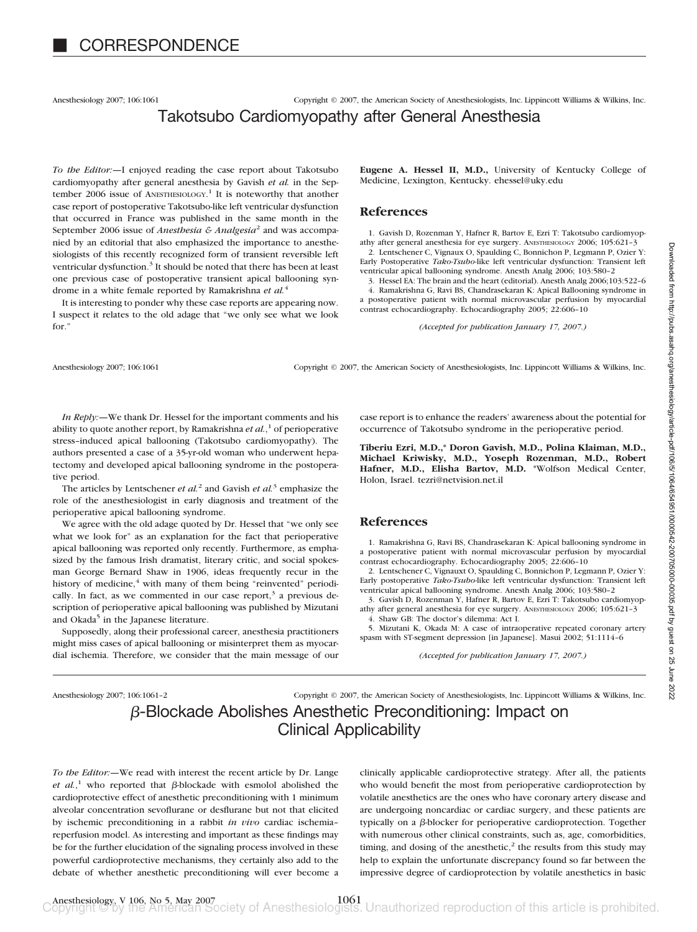Anesthesiology 2007; 106:1061 Copyright © 2007, the American Society of Anesthesiologists, Inc. Lippincott Williams & Wilkins, Inc.

# Takotsubo Cardiomyopathy after General Anesthesia

*To the Editor:—*I enjoyed reading the case report about Takotsubo cardiomyopathy after general anesthesia by Gavish *et al.* in the September 2006 issue of ANESTHESIOLOGY.<sup>1</sup> It is noteworthy that another case report of postoperative Takotsubo-like left ventricular dysfunction that occurred in France was published in the same month in the September 2006 issue of *Anesthesia & Analgesia*<sup>2</sup> and was accompanied by an editorial that also emphasized the importance to anesthesiologists of this recently recognized form of transient reversible left ventricular dysfunction.<sup>3</sup> It should be noted that there has been at least one previous case of postoperative transient apical ballooning syndrome in a white female reported by Ramakrishna *et al.*<sup>4</sup>

It is interesting to ponder why these case reports are appearing now. I suspect it relates to the old adage that "we only see what we look for."

**Eugene A. Hessel II, M.D.,** University of Kentucky College of Medicine, Lexington, Kentucky. ehessel@uky.edu

### **References**

1. Gavish D, Rozenman Y, Hafner R, Bartov E, Ezri T: Takotsubo cardiomyopathy after general anesthesia for eye surgery. ANESTHESIOLOGY 2006; 105:621–3 2. Lentschener C, Vignaux O, Spaulding C, Bonnichon P, Legmann P, Ozier Y: Early Postoperative *Tako-Tsubo*-like left ventricular dysfunction: Transient left ventricular apical ballooning syndrome. Anesth Analg 2006; 103:580–2

3. Hessel EA: The brain and the heart (editorial). Anesth Analg 2006;103:522–6 4. Ramakrishna G, Ravi BS, Chandrasekaran K: Apical Ballooning syndrome in a postoperative patient with normal microvascular perfusion by myocardial contrast echocardiography. Echocardiography 2005; 22:606–10

*(Accepted for publication January 17, 2007.)*

Anesthesiology 2007; 106:1061 Copyright © 2007, the American Society of Anesthesiologists, Inc. Lippincott Williams & Wilkins, Inc.

*In Reply:—*We thank Dr. Hessel for the important comments and his ability to quote another report, by Ramakrishna *et al.*, <sup>1</sup> of perioperative stress–induced apical ballooning (Takotsubo cardiomyopathy). The authors presented a case of a 35-yr-old woman who underwent hepatectomy and developed apical ballooning syndrome in the postoperative period.

The articles by Lentschener *et al.*<sup>2</sup> and Gavish *et al.*<sup>3</sup> emphasize the role of the anesthesiologist in early diagnosis and treatment of the perioperative apical ballooning syndrome.

We agree with the old adage quoted by Dr. Hessel that "we only see what we look for" as an explanation for the fact that perioperative apical ballooning was reported only recently. Furthermore, as emphasized by the famous Irish dramatist, literary critic, and social spokesman George Bernard Shaw in 1906, ideas frequently recur in the history of medicine, $4$  with many of them being "reinvented" periodically. In fact, as we commented in our case report, $3$  a previous description of perioperative apical ballooning was published by Mizutani and Okada<sup>5</sup> in the Japanese literature.

Supposedly, along their professional career, anesthesia practitioners might miss cases of apical ballooning or misinterpret them as myocardial ischemia. Therefore, we consider that the main message of our

case report is to enhance the readers' awareness about the potential for occurrence of Takotsubo syndrome in the perioperative period.

**Tiberiu Ezri, M.D.,\* Doron Gavish, M.D., Polina Klaiman, M.D., Michael Kriwisky, M.D., Yoseph Rozenman, M.D., Robert Hafner, M.D., Elisha Bartov, M.D.** \*Wolfson Medical Center, Holon, Israel. tezri@netvision.net.il

#### **References**

1. Ramakrishna G, Ravi BS, Chandrasekaran K: Apical ballooning syndrome in a postoperative patient with normal microvascular perfusion by myocardial contrast echocardiography. Echocardiography 2005; 22:606–10

2. Lentschener C, Vignauxt O, Spaulding C, Bonnichon P, Legmann P, Ozier Y: Early postoperative *Tako-Tsubo*-like left ventricular dysfunction: Transient left ventricular apical ballooning syndrome. Anesth Analg 2006; 103:580–2

3. Gavish D, Rozenman Y, Hafner R, Bartov E, Ezri T: Takotsubo cardiomyopathy after general anesthesia for eye surgery. ANESTHESIOLOGY 2006; 105:621–3 4. Shaw GB: The doctor's dilemma: Act I.

5. Mizutani K, Okada M: A case of intraoperative repeated coronary artery spasm with ST-segment depression [in Japanese]. Masui 2002; 51:1114–6

*(Accepted for publication January 17, 2007.)*

Anesthesiology 2007; 106:1061–2 Copyright © 2007, the American Society of Anesthesiologists, Inc. Lippincott Williams & Wilkins, Inc. -Blockade Abolishes Anesthetic Preconditioning: Impact on Clinical Applicability

*To the Editor:—*We read with interest the recent article by Dr. Lange *et al.*,<sup>1</sup> who reported that  $\beta$ -blockade with esmolol abolished the cardioprotective effect of anesthetic preconditioning with 1 minimum alveolar concentration sevoflurane or desflurane but not that elicited by ischemic preconditioning in a rabbit *in vivo* cardiac ischemia– reperfusion model. As interesting and important as these findings may be for the further elucidation of the signaling process involved in these powerful cardioprotective mechanisms, they certainly also add to the debate of whether anesthetic preconditioning will ever become a clinically applicable cardioprotective strategy. After all, the patients who would benefit the most from perioperative cardioprotection by volatile anesthetics are the ones who have coronary artery disease and are undergoing noncardiac or cardiac surgery, and these patients are typically on a  $\beta$ -blocker for perioperative cardioprotection. Together with numerous other clinical constraints, such as, age, comorbidities, timing, and dosing of the anesthetic, $2$  the results from this study may help to explain the unfortunate discrepancy found so far between the impressive degree of cardioprotection by volatile anesthetics in basic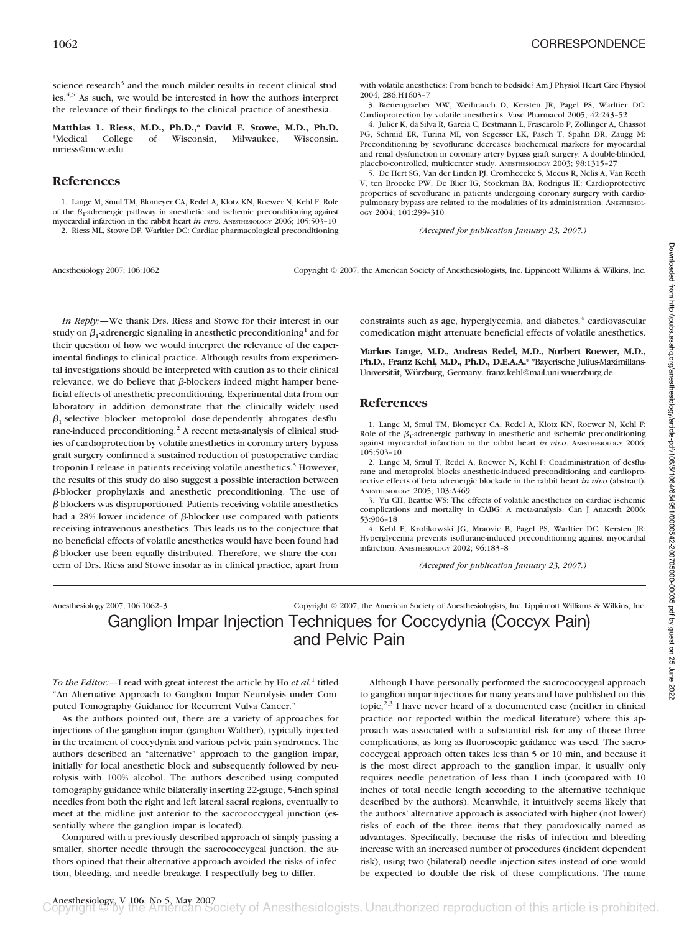science research<sup>3</sup> and the much milder results in recent clinical studies.<sup>4,5</sup> As such, we would be interested in how the authors interpret the relevance of their findings to the clinical practice of anesthesia.

**Matthias L. Riess, M.D., Ph.D.,\* David F. Stowe, M.D., Ph.D.** \*Medical College of Wisconsin, Milwaukee, Wisconsin. mriess@mcw.edu

### **References**

1. Lange M, Smul TM, Blomeyer CA, Redel A, Klotz KN, Roewer N, Kehl F: Role of the  $\beta_1$ -adrenergic pathway in anesthetic and ischemic preconditioning against myocardial infarction in the rabbit heart *in vivo*. ANESTHESIOLOGY 2006; 105:503–10 2. Riess ML, Stowe DF, Warltier DC: Cardiac pharmacological preconditioning

Anesthesiology 2007; 106:1062 Copyright © 2007, the American Society of Anesthesiologists, Inc. Lippincott Williams & Wilkins, Inc.

*In Reply:—*We thank Drs. Riess and Stowe for their interest in our study on  $\beta_1$ -adrenergic signaling in anesthetic preconditioning<sup>1</sup> and for their question of how we would interpret the relevance of the experimental findings to clinical practice. Although results from experimental investigations should be interpreted with caution as to their clinical relevance, we do believe that  $\beta$ -blockers indeed might hamper beneficial effects of anesthetic preconditioning. Experimental data from our laboratory in addition demonstrate that the clinically widely used  $\beta_1$ -selective blocker metoprolol dose-dependently abrogates desflurane-induced preconditioning.<sup>2</sup> A recent meta-analysis of clinical studies of cardioprotection by volatile anesthetics in coronary artery bypass graft surgery confirmed a sustained reduction of postoperative cardiac troponin I release in patients receiving volatile anesthetics.<sup>3</sup> However, the results of this study do also suggest a possible interaction between  $\beta$ -blocker prophylaxis and anesthetic preconditioning. The use of -blockers was disproportioned: Patients receiving volatile anesthetics had a 28% lower incidence of  $\beta$ -blocker use compared with patients receiving intravenous anesthetics. This leads us to the conjecture that no beneficial effects of volatile anesthetics would have been found had  $\beta$ -blocker use been equally distributed. Therefore, we share the concern of Drs. Riess and Stowe insofar as in clinical practice, apart from

constraints such as age, hyperglycemia, and diabetes,<sup>4</sup> cardiovascular comedication might attenuate beneficial effects of volatile anesthetics.

*(Accepted for publication January 23, 2007.)*

with volatile anesthetics: From bench to bedside? Am J Physiol Heart Circ Physiol

3. Bienengraeber MW, Weihrauch D, Kersten JR, Pagel PS, Warltier DC: Cardioprotection by volatile anesthetics. Vasc Pharmacol 2005; 42:243–52 4. Julier K, da Silva R, Garcia C, Bestmann L, Frascarolo P, Zollinger A, Chassot PG, Schmid ER, Turina MI, von Segesser LK, Pasch T, Spahn DR, Zaugg M: Preconditioning by sevoflurane decreases biochemical markers for myocardial and renal dysfunction in coronary artery bypass graft surgery: A double-blinded, placebo-controlled, multicenter study. ANESTHESIOLOGY 2003; 98:1315–27 5. De Hert SG, Van der Linden PJ, Cromheecke S, Meeus R, Nelis A, Van Reeth V, ten Broecke PW, De Blier IG, Stockman BA, Rodrigus IE: Cardioprotective properties of sevoflurane in patients undergoing coronary surgery with cardiopulmonary bypass are related to the modalities of its administration. ANESTHESIOL-

**Markus Lange, M.D., Andreas Redel, M.D., Norbert Roewer, M.D., Ph.D., Franz Kehl, M.D., Ph.D., D.E.A.A.\*** \*Bayerische Julius-Maximillans-Universität, Würzburg, Germany. franz.kehl@mail.uni-wuerzburg.de

#### **References**

2004; 286:H1603–7

OGY 2004; 101:299–310

1. Lange M, Smul TM, Blomeyer CA, Redel A, Klotz KN, Roewer N, Kehl F: Role of the  $\beta_1$ -adrenergic pathway in anesthetic and ischemic preconditioning against myocardial infarction in the rabbit heart *in vivo*. ANESTHESIOLOGY 2006; 105:503–10

2. Lange M, Smul T, Redel A, Roewer N, Kehl F: Coadministration of desflurane and metoprolol blocks anesthetic-induced preconditioning and cardioprotective effects of beta adrenergic blockade in the rabbit heart *in vivo* (abstract). ANESTHESIOLOGY 2005; 103:A469

3. Yu CH, Beattie WS: The effects of volatile anesthetics on cardiac ischemic complications and mortality in CABG: A meta-analysis. Can J Anaesth 2006; 53:906–18

4. Kehl F, Krolikowski JG, Mraovic B, Pagel PS, Warltier DC, Kersten JR: Hyperglycemia prevents isoflurane-induced preconditioning against myocardial infarction. ANESTHESIOLOGY 2002; 96:183–8

*(Accepted for publication January 23, 2007.)*

Anesthesiology 2007; 106:1062–3 Copyright © 2007, the American Society of Anesthesiologists, Inc. Lippincott Williams & Wilkins, Inc.

Ganglion Impar Injection Techniques for Coccydynia (Coccyx Pain) and Pelvic Pain

*To the Editor:—*I read with great interest the article by Ho *et al.*<sup>1</sup> titled "An Alternative Approach to Ganglion Impar Neurolysis under Computed Tomography Guidance for Recurrent Vulva Cancer."

As the authors pointed out, there are a variety of approaches for injections of the ganglion impar (ganglion Walther), typically injected in the treatment of coccydynia and various pelvic pain syndromes. The authors described an "alternative" approach to the ganglion impar, initially for local anesthetic block and subsequently followed by neurolysis with 100% alcohol. The authors described using computed tomography guidance while bilaterally inserting 22-gauge, 5-inch spinal needles from both the right and left lateral sacral regions, eventually to meet at the midline just anterior to the sacrococcygeal junction (essentially where the ganglion impar is located).

Compared with a previously described approach of simply passing a smaller, shorter needle through the sacrococcygeal junction, the authors opined that their alternative approach avoided the risks of infection, bleeding, and needle breakage. I respectfully beg to differ.

Although I have personally performed the sacrococcygeal approach to ganglion impar injections for many years and have published on this topic,<sup>2,3</sup> I have never heard of a documented case (neither in clinical practice nor reported within the medical literature) where this approach was associated with a substantial risk for any of those three complications, as long as fluoroscopic guidance was used. The sacrococcygeal approach often takes less than 5 or 10 min, and because it is the most direct approach to the ganglion impar, it usually only requires needle penetration of less than 1 inch (compared with 10 inches of total needle length according to the alternative technique described by the authors). Meanwhile, it intuitively seems likely that the authors' alternative approach is associated with higher (not lower) risks of each of the three items that they paradoxically named as advantages. Specifically, because the risks of infection and bleeding increase with an increased number of procedures (incident dependent risk), using two (bilateral) needle injection sites instead of one would be expected to double the risk of these complications. The name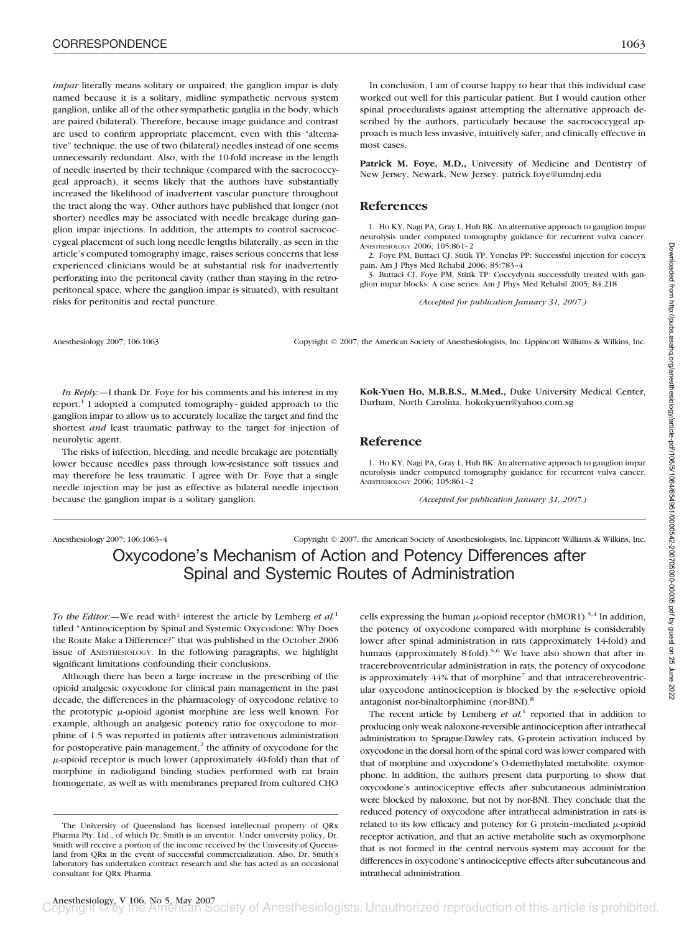*impar* literally means solitary or unpaired; the ganglion impar is duly named because it is a solitary, midline sympathetic nervous system ganglion, unlike all of the other sympathetic ganglia in the body, which are paired (bilateral). Therefore, because image guidance and contrast are used to confirm appropriate placement, even with this "alternative" technique, the use of two (bilateral) needles instead of one seems unnecessarily redundant. Also, with the 10-fold increase in the length of needle inserted by their technique (compared with the sacrococcygeal approach), it seems likely that the authors have substantially increased the likelihood of inadvertent vascular puncture throughout the tract along the way. Other authors have published that longer (not shorter) needles may be associated with needle breakage during ganglion impar injections. In addition, the attempts to control sacrococcygeal placement of such long needle lengths bilaterally, as seen in the article's computed tomography image, raises serious concerns that less experienced clinicians would be at substantial risk for inadvertently perforating into the peritoneal cavity (rather than staying in the retroperitoneal space, where the ganglion impar is situated), with resultant risks for peritonitis and rectal puncture.

In conclusion, I am of course happy to hear that this individual case worked out well for this particular patient. But I would caution other spinal proceduralists against attempting the alternative approach described by the authors, particularly because the sacrococcygeal approach is much less invasive, intuitively safer, and clinically effective in most cases.

Patrick M. Foye, M.D., University of Medicine and Dentistry of New Jersey, Newark, New Jersey. patrick.foye@umdnj.edu

### **References**

1. Ho KY, Nagi PA, Gray L, Huh BK: An alternative approach to ganglion impar neurolysis under computed tomography guidance for recurrent vulva cancer. ANESTHESIOLOGY 2006; 105:861–2

2. Foye PM, Buttaci CJ, Stitik TP, Yonclas PP: Successful injection for coccyx pain. Am J Phys Med Rehabil 2006; 85:783–4

3. Buttaci CJ, Foye PM, Stitik TP: Coccydynia successfully treated with ganglion impar blocks: A case series. Am J Phys Med Rehabil 2005; 84:218

*(Accepted for publication January 31, 2007.)*

Anesthesiology 2007; 106:1063 Copyright © 2007, the American Society of Anesthesiologists, Inc. Lippincott Williams & Wilkins, Inc.

*In Reply:*—I thank Dr. Foye for his comments and his interest in my report.<sup>1</sup> I adopted a computed tomography-guided approach to the ganglion impar to allow us to accurately localize the target and find the shortest *and* least traumatic pathway to the target for injection of neurolytic agent.

The risks of infection, bleeding, and needle breakage are potentially lower because needles pass through low-resistance soft tissues and may therefore be less traumatic. I agree with Dr. Foye that a single needle injection may be just as effective as bilateral needle injection because the ganglion impar is a solitary ganglion.

**Kok-Yuen Ho, M.B.B.S., M.Med.,** Duke University Medical Center, Durham, North Carolina. hokokyuen@yahoo.com.sg

#### **Reference**

1. Ho KY, Nagi PA, Gray L, Huh BK: An alternative approach to ganglion impar neurolysis under computed tomography guidance for recurrent vulva cancer. ANESTHESIOLOGY 2006; 105:861–2

*(Accepted for publication January 31, 2007.)*

Anesthesiology 2007; 106:1063–4 Copyright © 2007, the American Society of Anesthesiologists, Inc. Lippincott Williams & Wilkins, Inc. Oxycodone's Mechanism of Action and Potency Differences after Spinal and Systemic Routes of Administration

*To the Editor:*—We read with<sup>1</sup> interest the article by Lemberg *et al.*<sup>1</sup> titled "Antinociception by Spinal and Systemic Oxycodone: Why Does the Route Make a Difference?" that was published in the October 2006 issue of ANESTHESIOLOGY. In the following paragraphs, we highlight significant limitations confounding their conclusions.

Although there has been a large increase in the prescribing of the opioid analgesic oxycodone for clinical pain management in the past decade, the differences in the pharmacology of oxycodone relative to the prototypic  $\mu$ -opioid agonist morphine are less well known. For example, although an analgesic potency ratio for oxycodone to morphine of 1.5 was reported in patients after intravenous administration for postoperative pain management, $<sup>2</sup>$  the affinity of oxycodone for the</sup>  $\mu$ -opioid receptor is much lower (approximately 40-fold) than that of morphine in radioligand binding studies performed with rat brain homogenate, as well as with membranes prepared from cultured CHO

cells expressing the human  $\mu$ -opioid receptor (hMOR1).<sup>3,4</sup> In addition, the potency of oxycodone compared with morphine is considerably lower after spinal administration in rats (approximately 14-fold) and humans (approximately 8-fold).<sup>5,6</sup> We have also shown that after intracerebroventricular administration in rats, the potency of oxycodone is approximately  $44%$  that of morphine<sup>7</sup> and that intracerebroventricular oxycodone antinociception is blocked by the  $\kappa$ -selective opioid antagonist nor-binaltorphimine (nor-BNI).8

The recent article by Lemberg  $et \ al<sup>1</sup>$  reported that in addition to producing only weak naloxone-reversible antinociception after intrathecal administration to Sprague-Dawley rats, G-protein activation induced by oxycodone in the dorsal horn of the spinal cord was lower compared with that of morphine and oxycodone's O-demethylated metabolite, oxymorphone. In addition, the authors present data purporting to show that oxycodone's antinociceptive effects after subcutaneous administration were blocked by naloxone, but not by nor-BNI. They conclude that the reduced potency of oxycodone after intrathecal administration in rats is related to its low efficacy and potency for G protein-mediated  $\mu$ -opioid receptor activation, and that an active metabolite such as oxymorphone that is not formed in the central nervous system may account for the differences in oxycodone's antinociceptive effects after subcutaneous and intrathecal administration.

The University of Queensland has licensed intellectual property of QRx Pharma Pty. Ltd., of which Dr. Smith is an inventor. Under university policy, Dr. Smith will receive a portion of the income received by the University of Queensland from QRx in the event of successful commercialization. Also, Dr. Smith's laboratory has undertaken contract research and she has acted as an occasional consultant for QRx Pharma.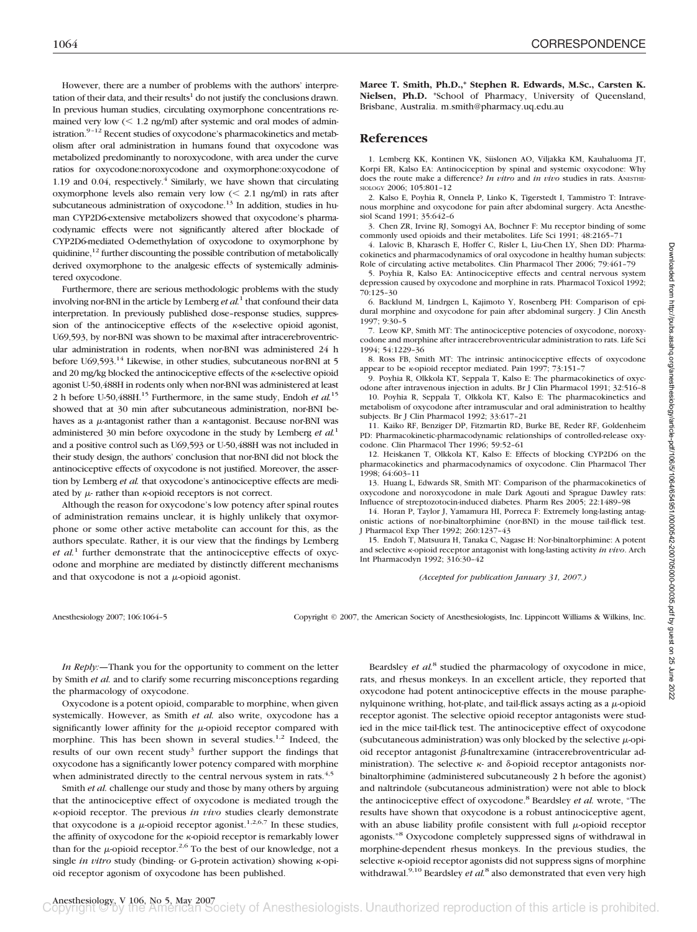1064 CORRESPONDENCE

However, there are a number of problems with the authors' interpretation of their data, and their results $1$  do not justify the conclusions drawn. In previous human studies, circulating oxymorphone concentrations remained very low  $(< 1.2$  ng/ml) after systemic and oral modes of administration.<sup>9-12</sup> Recent studies of oxycodone's pharmacokinetics and metabolism after oral administration in humans found that oxycodone was metabolized predominantly to noroxycodone, with area under the curve ratios for oxycodone:noroxycodone and oxymorphone:oxycodone of 1.19 and 0.04, respectively. $4$  Similarly, we have shown that circulating oxymorphone levels also remain very low  $\ll$  2.1 ng/ml) in rats after subcutaneous administration of oxycodone.<sup>13</sup> In addition, studies in human CYP2D6-extensive metabolizers showed that oxycodone's pharmacodynamic effects were not significantly altered after blockade of CYP2D6-mediated O-demethylation of oxycodone to oxymorphone by quidinine, $^{12}$  further discounting the possible contribution of metabolically derived oxymorphone to the analgesic effects of systemically administered oxycodone.

Furthermore, there are serious methodologic problems with the study involving nor-BNI in the article by Lemberg *et al.*<sup>1</sup> that confound their data interpretation. In previously published dose–response studies, suppression of the antinociceptive effects of the  $\kappa$ -selective opioid agonist, U69,593, by nor-BNI was shown to be maximal after intracerebroventricular administration in rodents, when nor-BNI was administered 24 h before U69,593.14 Likewise, in other studies, subcutaneous nor-BNI at 5 and 20 mg/kg blocked the antinociceptive effects of the  $\kappa$ -selective opioid agonist U-50,488H in rodents only when nor-BNI was administered at least 2 h before U-50,488H.15 Furthermore, in the same study, Endoh *et al.*<sup>15</sup> showed that at 30 min after subcutaneous administration, nor-BNI behaves as a  $\mu$ -antagonist rather than a  $\kappa$ -antagonist. Because nor-BNI was administered 30 min before oxycodone in the study by Lemberg *et al.*<sup>1</sup> and a positive control such as U69,593 or U-50,488H was not included in their study design, the authors' conclusion that nor-BNI did not block the antinociceptive effects of oxycodone is not justified. Moreover, the assertion by Lemberg *et al.* that oxycodone's antinociceptive effects are mediated by  $\mu$ - rather than  $\kappa$ -opioid receptors is not correct.

Although the reason for oxycodone's low potency after spinal routes of administration remains unclear, it is highly unlikely that oxymorphone or some other active metabolite can account for this, as the authors speculate. Rather, it is our view that the findings by Lemberg *et al.*<sup>1</sup> further demonstrate that the antinociceptive effects of oxycodone and morphine are mediated by distinctly different mechanisms and that oxycodone is not a  $\mu$ -opioid agonist.

**Maree T. Smith, Ph.D.,\* Stephen R. Edwards, M.Sc., Carsten K. Nielsen, Ph.D.** \*School of Pharmacy, University of Queensland, Brisbane, Australia. m.smith@pharmacy.uq.edu.au

### **References**

1. Lemberg KK, Kontinen VK, Siislonen AO, Viljakka KM, Kauhaluoma JT, Korpi ER, Kalso EA: Antinociception by spinal and systemic oxycodone: Why does the route make a difference? *In vitro* and *in vivo* studies in rats. ANESTHE-SIOLOGY 2006; 105:801–12

2. Kalso E, Poyhia R, Onnela P, Linko K, Tigerstedt I, Tammistro T: Intravenous morphine and oxycodone for pain after abdominal surgery. Acta Anesthesiol Scand 1991; 35:642–6

3. Chen ZR, Irvine RJ, Somogyi AA, Bochner F: Mu receptor binding of some commonly used opioids and their metabolites. Life Sci 1991; 48:2165-

4. Lalovic B, Kharasch E, Hoffer C, Risler L, Liu-Chen LY, Shen DD: Pharmacokinetics and pharmacodynamics of oral oxycodone in healthy human subjects: Role of circulating active metabolites. Clin Pharmacol Ther 2006; 79:461–79

5. Poyhia R, Kalso EA: Antinociceptive effects and central nervous system depression caused by oxycodone and morphine in rats. Pharmacol Toxicol 1992; 70:125–30

6. Backlund M, Lindrgen L, Kajimoto Y, Rosenberg PH: Comparison of epidural morphine and oxycodone for pain after abdominal surgery. J Clin Anesth 1997; 9:30–5

7. Leow KP, Smith MT: The antinociceptive potencies of oxycodone, noroxycodone and morphine after intracerebroventricular administration to rats. Life Sci 1994; 54:1229–36

8. Ross FB, Smith MT: The intrinsic antinociceptive effects of oxycodone appear to be *k*-opioid receptor mediated. Pain 1997; 73:151-7

9. Poyhia R, Olkkola KT, Seppala T, Kalso E: The pharmacokinetics of oxycodone after intravenous injection in adults. Br J Clin Pharmacol 1991; 32:516–8

10. Poyhia R, Seppala T, Olkkola KT, Kalso E: The pharmacokinetics and metabolism of oxycodone after intramuscular and oral administration to healthy subjects. Br J Clin Pharmacol 1992; 33:617–21

11. Kaiko RF, Benziger DP, Fitzmartin RD, Burke BE, Reder RF, Goldenheim PD: Pharmacokinetic-pharmacodynamic relationships of controlled-release oxycodone. Clin Pharmacol Ther 1996; 59:52–61

12. Heiskanen T, Olkkola KT, Kalso E: Effects of blocking CYP2D6 on the pharmacokinetics and pharmacodynamics of oxycodone. Clin Pharmacol Ther 1998; 64:603–11

13. Huang L, Edwards SR, Smith MT: Comparison of the pharmacokinetics of oxycodone and noroxycodone in male Dark Agouti and Sprague Dawley rats: Influence of streptozotocin-induced diabetes. Pharm Res 2005; 22:1489–98

14. Horan P, Taylor J, Yamamura HI, Porreca F: Extremely long-lasting antagonistic actions of nor-binaltorphimine (nor-BNI) in the mouse tail-flick test. J Pharmacol Exp Ther 1992; 260:1237–43

15. Endoh T, Matsuura H, Tanaka C, Nagase H: Nor-binaltorphimine: A potent and selective  $\kappa$ -opioid receptor antagonist with long-lasting activity *in vivo*. Arch Int Pharmacodyn 1992; 316:30–42

*(Accepted for publication January 31, 2007.)*

Downloaded from http://pubs.asahq.org/anesthesiology/article-pdf/106/5/1064/654951/0000342-2007050000035.pdf by guest on 25 June 2022 Downloaded from http://pubs.asahq.org/anesthesiology/article-pdf/106/5/1064/654951/0000542-200705000-00035.pdf by guest on 25 June 2022

Anesthesiology 2007; 106:1064-5 Copyright © 2007, the American Society of Anesthesiologists, Inc. Lippincott Williams & Wilkins, Inc.

*In Reply:—*Thank you for the opportunity to comment on the letter by Smith *et al.* and to clarify some recurring misconceptions regarding the pharmacology of oxycodone.

Oxycodone is a potent opioid, comparable to morphine, when given systemically. However, as Smith *et al.* also write, oxycodone has a significantly lower affinity for the  $\mu$ -opioid receptor compared with morphine. This has been shown in several studies.<sup>1,2</sup> Indeed, the results of our own recent study<sup>3</sup> further support the findings that oxycodone has a significantly lower potency compared with morphine when administrated directly to the central nervous system in rats.<sup>4,5</sup>

Smith *et al.* challenge our study and those by many others by arguing that the antinociceptive effect of oxycodone is mediated trough the -opioid receptor. The previous *in vivo* studies clearly demonstrate that oxycodone is a  $\mu$ -opioid receptor agonist.<sup>1,2,6,7</sup> In these studies, the affinity of oxycodone for the  $\kappa$ -opioid receptor is remarkably lower than for the  $\mu$ -opioid receptor.<sup>2,6</sup> To the best of our knowledge, not a single *in vitro* study (binding- or G-protein activation) showing  $\kappa$ -opioid receptor agonism of oxycodone has been published.

Beardsley *et al.*<sup>8</sup> studied the pharmacology of oxycodone in mice, rats, and rhesus monkeys. In an excellent article, they reported that oxycodone had potent antinociceptive effects in the mouse paraphenylquinone writhing, hot-plate, and tail-flick assays acting as a  $\mu$ -opioid receptor agonist. The selective opioid receptor antagonists were studied in the mice tail-flick test. The antinociceptive effect of oxycodone (subcutaneous administration) was only blocked by the selective  $\mu$ -opioid receptor antagonist  $\beta$ -funaltrexamine (intracerebroventricular administration). The selective  $\kappa$ - and  $\delta$ -opioid receptor antagonists norbinaltorphimine (administered subcutaneously 2 h before the agonist) and naltrindole (subcutaneous administration) were not able to block the antinociceptive effect of oxycodone.8 Beardsley *et al.* wrote, "The results have shown that oxycodone is a robust antinociceptive agent, with an abuse liability profile consistent with full  $\mu$ -opioid receptor agonists."8 Oxycodone completely suppressed signs of withdrawal in morphine-dependent rhesus monkeys. In the previous studies, the selective  $\kappa$ -opioid receptor agonists did not suppress signs of morphine withdrawal.<sup>9,10</sup> Beardsley *et al.*<sup>8</sup> also demonstrated that even very high

Anesthesiology, V 106, No 5, May 2007<br>Jopyright © by the American Society of Anesthesiologists. Unauthorized reproduction of this article is prohibited.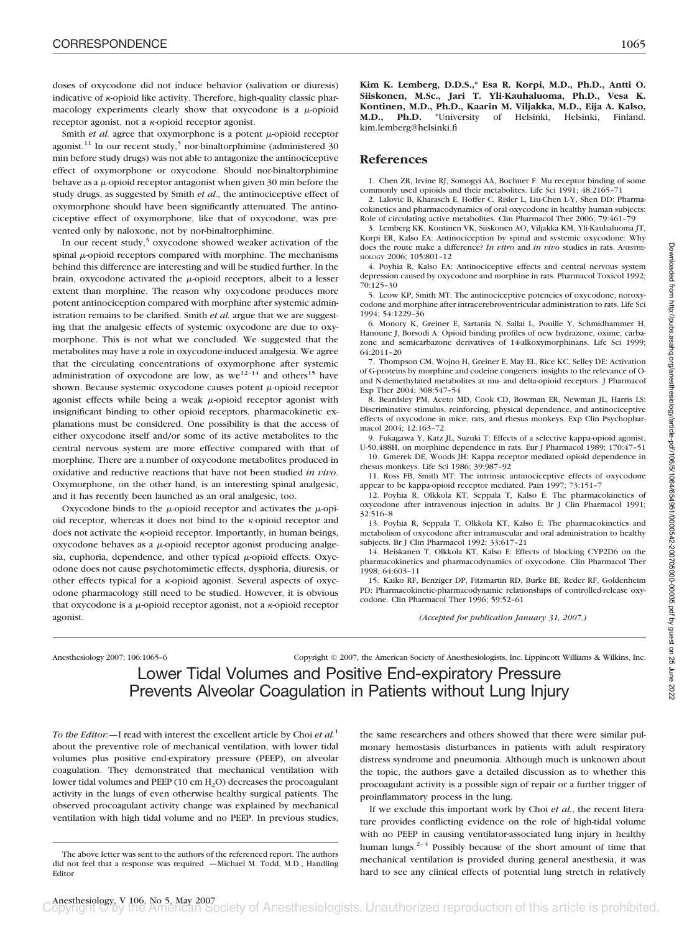doses of oxycodone did not induce behavior (salivation or diuresis) indicative of  $\kappa$ -opioid like activity. Therefore, high-quality classic pharmacology experiments clearly show that oxycodone is a  $\mu$ -opioid receptor agonist, not a  $\kappa$ -opioid receptor agonist.

Smith  $et$   $al$ . agree that oxymorphone is a potent  $\mu$ -opioid receptor agonist.<sup>11</sup> In our recent study,<sup>3</sup> nor-binaltorphimine (administered 30) min before study drugs) was not able to antagonize the antinociceptive effect of oxymorphone or oxycodone. Should nor-binaltorphimine behave as a  $\mu$ -opioid receptor antagonist when given 30 min before the study drugs, as suggested by Smith *et al.*, the antinociceptive effect of oxymorphone should have been significantly attenuated. The antinociceptive effect of oxymorphone, like that of oxycodone, was prevented only by naloxone, not by nor-binaltorphimine.

In our recent study, $3$  oxycodone showed weaker activation of the spinal  $\mu$ -opioid receptors compared with morphine. The mechanisms behind this difference are interesting and will be studied further. In the brain, oxycodone activated the  $\mu$ -opioid receptors, albeit to a lesser extent than morphine. The reason why oxycodone produces more potent antinociception compared with morphine after systemic administration remains to be clarified. Smith *et al.* argue that we are suggesting that the analgesic effects of systemic oxycodone are due to oxymorphone. This is not what we concluded. We suggested that the metabolites may have a role in oxycodone-induced analgesia. We agree that the circulating concentrations of oxymorphone after systemic administration of oxycodone are low, as  $we^{12-14}$  and others<sup>15</sup> have shown. Because systemic oxycodone causes potent  $\mu$ -opioid receptor agonist effects while being a weak  $\mu$ -opioid receptor agonist with insignificant binding to other opioid receptors, pharmacokinetic explanations must be considered. One possibility is that the access of either oxycodone itself and/or some of its active metabolites to the central nervous system are more effective compared with that of morphine. There are a number of oxycodone metabolites produced in oxidative and reductive reactions that have not been studied *in vivo*. Oxymorphone, on the other hand, is an interesting spinal analgesic, and it has recently been launched as an oral analgesic, too.

Oxycodone binds to the  $\mu$ -opioid receptor and activates the  $\mu$ -opioid receptor, whereas it does not bind to the  $\kappa$ -opioid receptor and does not activate the  $\kappa$ -opioid receptor. Importantly, in human beings,  $oxycodone$  behaves as a  $\mu$ -opioid receptor agonist producing analgesia, euphoria, dependence, and other typical  $\mu$ -opioid effects. Oxycodone does not cause psychotomimetic effects, dysphoria, diuresis, or other effects typical for a  $\kappa$ -opioid agonist. Several aspects of oxycodone pharmacology still need to be studied. However, it is obvious that oxycodone is a  $\mu$ -opioid receptor agonist, not a  $\kappa$ -opioid receptor agonist.

**Kim K. Lemberg, D.D.S.,\* Esa R. Korpi, M.D., Ph.D., Antti O. Siiskonen, M.Sc., Jari T. Yli-Kauhaluoma, Ph.D., Vesa K. Kontinen, M.D., Ph.D., Kaarin M. Viljakka, M.D., Eija A. Kalso, M.D., Ph.D.** \*University of Helsinki, Helsinki, Finland. kim.lemberg@helsinki.fi

#### **References**

1. Chen ZR, Irvine RJ, Somogyi AA, Bochner F: Mu receptor binding of some commonly used opioids and their metabolites. Life Sci 1991; 48:2165–71

2. Lalovic B, Kharasch E, Hoffer C, Risler L, Liu-Chen L-Y, Shen DD: Pharmacokinetics and pharmacodynamics of oral oxycodone in healthy human subjects: Role of circulating active metabolites. Clin Pharmacol Ther 2006; 79:461–79

3. Lemberg KK, Kontinen VK, Siiskonen AO, Viljakka KM, Yli-Kauhaluoma JT, Korpi ER, Kalso EA: Antinociception by spinal and systemic oxycodone: Why does the route make a difference? *In vitro* and *in vivo* studies in rats. ANESTHE-SIOLOGY 2006; 105:801–12

4. Poyhia R, Kalso EA: Antinociceptive effects and central nervous system depression caused by oxycodone and morphine in rats. Pharmacol Toxicol 1992; 70:125–30

5. Leow KP, Smith MT: The antinociceptive potencies of oxycodone, noroxycodone and morphine after intracerebroventricular administration to rats. Life Sci 1994; 54:1229–36

6. Monory K, Greiner E, Sartania N, Sallai L, Pouille Y, Schmidhammer H, Hanoune J, Borsodi A: Opioid binding profiles of new hydrazone, oxime, carbazone and semicarbazone derivatives of 14-alkoxymorphinans. Life Sci 1999; 64:2011–20

7. Thompson CM, Wojno H, Greiner E, May EL, Rice KC, Selley DE: Activation of G-proteins by morphine and codeine congeners: insights to the relevance of Oand N-demethylated metabolites at mu- and delta-opioid receptors. J Pharmacol Exp Ther 2004; 308:547–54

8. Beardsley PM, Aceto MD, Cook CD, Bowman ER, Newman JL, Harris LS: Discriminative stimulus, reinforcing, physical dependence, and antinociceptive effects of oxycodone in mice, rats, and rhesus monkeys. Exp Clin Psychopharmacol 2004; 12:163–72

9. Fukagawa Y, Katz JL, Suzuki T: Effects of a selective kappa-opioid agonist, U-50,488H, on morphine dependence in rats. Eur J Pharmacol 1989; 170:47–51

10. Gmerek DE, Woods JH: Kappa receptor mediated opioid dependence in rhesus monkeys. Life Sci 1986; 39:987–92

11. Ross FB, Smith MT: The intrinsic antinociceptive effects of oxycodone appear to be kappa-opioid receptor mediated. Pain 1997; 73:151–7

12. Poyhia R, Olkkola KT, Seppala T, Kalso E: The pharmacokinetics of oxycodone after intravenous injection in adults. Br J Clin Pharmacol 1991; 32:516–8

13. Poyhia R, Seppala T, Olkkola KT, Kalso E: The pharmacokinetics and metabolism of oxycodone after intramuscular and oral administration to healthy subjects. Br J Clin Pharmacol 1992; 33:617–21

14. Heiskanen T, Olkkola KT, Kalso E: Effects of blocking CYP2D6 on the pharmacokinetics and pharmacodynamics of oxycodone. Clin Pharmacol Ther 1998; 64:603–11

15. Kaiko RF, Benziger DP, Fitzmartin RD, Burke BE, Reder RF, Goldenheim PD: Pharmacokinetic-pharmacodynamic relationships of controlled-release oxycodone. Clin Pharmacol Ther 1996; 59:52–61

*(Accepted for publication January 31, 2007.)*

Anesthesiology 2007; 106:1065–6 Copyright © 2007, the American Society of Anesthesiologists, Inc. Lippincott Williams & Wilkins, Inc.

Lower Tidal Volumes and Positive End-expiratory Pressure Prevents Alveolar Coagulation in Patients without Lung Injury

*To the Editor:—*I read with interest the excellent article by Choi *et al.*<sup>1</sup> about the preventive role of mechanical ventilation, with lower tidal volumes plus positive end-expiratory pressure (PEEP), on alveolar coagulation. They demonstrated that mechanical ventilation with lower tidal volumes and PEEP (10 cm  $H_2O$ ) decreases the procoagulant activity in the lungs of even otherwise healthy surgical patients. The observed procoagulant activity change was explained by mechanical ventilation with high tidal volume and no PEEP. In previous studies,

the same researchers and others showed that there were similar pulmonary hemostasis disturbances in patients with adult respiratory distress syndrome and pneumonia. Although much is unknown about the topic, the authors gave a detailed discussion as to whether this procoagulant activity is a possible sign of repair or a further trigger of proinflammatory process in the lung.

If we exclude this important work by Choi *et al.*, the recent literature provides conflicting evidence on the role of high-tidal volume with no PEEP in causing ventilator-associated lung injury in healthy human lungs.<sup>2-4</sup> Possibly because of the short amount of time that mechanical ventilation is provided during general anesthesia, it was hard to see any clinical effects of potential lung stretch in relatively

The above letter was sent to the authors of the referenced report. The authors did not feel that a response was required. —Michael M. Todd, M.D., Handling Editor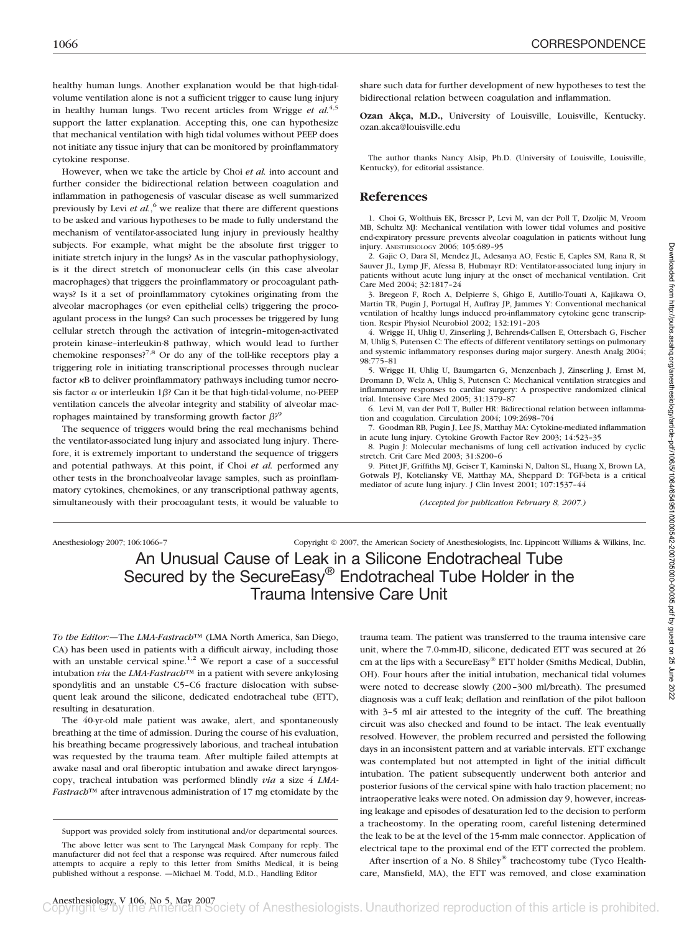healthy human lungs. Another explanation would be that high-tidalvolume ventilation alone is not a sufficient trigger to cause lung injury in healthy human lungs. Two recent articles from Wrigge *et al.*<sup>4,5</sup> support the latter explanation. Accepting this, one can hypothesize that mechanical ventilation with high tidal volumes without PEEP does not initiate any tissue injury that can be monitored by proinflammatory cytokine response.

However, when we take the article by Choi *et al.* into account and further consider the bidirectional relation between coagulation and inflammation in pathogenesis of vascular disease as well summarized previously by Levi *et al.*,<sup>6</sup> we realize that there are different questions to be asked and various hypotheses to be made to fully understand the mechanism of ventilator-associated lung injury in previously healthy subjects. For example, what might be the absolute first trigger to initiate stretch injury in the lungs? As in the vascular pathophysiology, is it the direct stretch of mononuclear cells (in this case alveolar macrophages) that triggers the proinflammatory or procoagulant pathways? Is it a set of proinflammatory cytokines originating from the alveolar macrophages (or even epithelial cells) triggering the procoagulant process in the lungs? Can such processes be triggered by lung cellular stretch through the activation of integrin–mitogen-activated protein kinase–interleukin-8 pathway, which would lead to further chemokine responses?7,8 Or do any of the toll-like receptors play a triggering role in initiating transcriptional processes through nuclear factor  $\kappa B$  to deliver proinflammatory pathways including tumor necrosis factor  $\alpha$  or interleukin 1 $\beta$ ? Can it be that high-tidal-volume, no-PEEP ventilation cancels the alveolar integrity and stability of alveolar macrophages maintained by transforming growth factor  $\beta$ ?<sup>9</sup>

The sequence of triggers would bring the real mechanisms behind the ventilator-associated lung injury and associated lung injury. Therefore, it is extremely important to understand the sequence of triggers and potential pathways. At this point, if Choi *et al.* performed any other tests in the bronchoalveolar lavage samples, such as proinflammatory cytokines, chemokines, or any transcriptional pathway agents, simultaneously with their procoagulant tests, it would be valuable to

share such data for further development of new hypotheses to test the bidirectional relation between coagulation and inflammation.

**Ozan Akca, M.D.,** University of Louisville, Louisville, Kentucky. ozan.akca@louisville.edu

The author thanks Nancy Alsip, Ph.D. (University of Louisville, Louisville, Kentucky), for editorial assistance.

#### **References**

1. Choi G, Wolthuis EK, Bresser P, Levi M, van der Poll T, Dzoljic M, Vroom MB, Schultz MJ: Mechanical ventilation with lower tidal volumes and positive end-expiratory pressure prevents alveolar coagulation in patients without lung injury. ANESTHESIOLOGY 2006; 105:689–95

2. Gajic O, Dara SI, Mendez JL, Adesanya AO, Festic E, Caples SM, Rana R, St Sauver JL, Lymp JF, Afessa B, Hubmayr RD: Ventilator-associated lung injury in patients without acute lung injury at the onset of mechanical ventilation. Crit Care Med 2004; 32:1817–24

3. Bregeon F, Roch A, Delpierre S, Ghigo E, Autillo-Touati A, Kajikawa O, Martin TR, Pugin J, Portugal H, Auffray JP, Jammes Y: Conventional mechanical ventilation of healthy lungs induced pro-inflammatory cytokine gene transcription. Respir Physiol Neurobiol 2002; 132:191–203

4. Wrigge H, Uhlig U, Zinserling J, Behrends-Callsen E, Ottersbach G, Fischer M, Uhlig S, Putensen C: The effects of different ventilatory settings on pulmonary and systemic inflammatory responses during major surgery. Anesth Analg 2004; 98:775–81

5. Wrigge H, Uhlig U, Baumgarten G, Menzenbach J, Zinserling J, Ernst M, Dromann D, Welz A, Uhlig S, Putensen C: Mechanical ventilation strategies and inflammatory responses to cardiac surgery: A prospective randomized clinical trial. Intensive Care Med 2005; 31:1379–87

6. Levi M, van der Poll T, Buller HR: Bidirectional relation between inflammation and coagulation. Circulation 2004; 109:2698–704

7. Goodman RB, Pugin J, Lee JS, Matthay MA: Cytokine-mediated inflammation in acute lung injury. Cytokine Growth Factor Rev 2003; 14:523–35

8. Pugin J: Molecular mechanisms of lung cell activation induced by cyclic stretch. Crit Care Med 2003; 31:S200–6

9. Pittet JF, Griffiths MJ, Geiser T, Kaminski N, Dalton SL, Huang X, Brown LA, Gotwals PJ, Koteliansky VE, Matthay MA, Sheppard D: TGF-beta is a critical mediator of acute lung injury. J Clin Invest 2001; 107:1537–44

*(Accepted for publication February 8, 2007.)*

Anesthesiology 2007; 106:1066–7 Copyright © 2007, the American Society of Anesthesiologists, Inc. Lippincott Williams & Wilkins, Inc.

# An Unusual Cause of Leak in a Silicone Endotracheal Tube Secured by the SecureEasy® Endotracheal Tube Holder in the Trauma Intensive Care Unit

*To the Editor:—*The *LMA-Fastrach*™ (LMA North America, San Diego, CA) has been used in patients with a difficult airway, including those with an unstable cervical spine.<sup>1,2</sup> We report a case of a successful intubation *via* the *LMA-Fastrach*™ in a patient with severe ankylosing spondylitis and an unstable C5–C6 fracture dislocation with subsequent leak around the silicone, dedicated endotracheal tube (ETT), resulting in desaturation.

The 40-yr-old male patient was awake, alert, and spontaneously breathing at the time of admission. During the course of his evaluation, his breathing became progressively laborious, and tracheal intubation was requested by the trauma team. After multiple failed attempts at awake nasal and oral fiberoptic intubation and awake direct laryngoscopy, tracheal intubation was performed blindly *via* a size 4 *LMA-Fastrach*™ after intravenous administration of 17 mg etomidate by the trauma team. The patient was transferred to the trauma intensive care unit, where the 7.0-mm-ID, silicone, dedicated ETT was secured at 26 cm at the lips with a SecureEasy® ETT holder (Smiths Medical, Dublin, OH). Four hours after the initial intubation, mechanical tidal volumes were noted to decrease slowly (200–300 ml/breath). The presumed diagnosis was a cuff leak; deflation and reinflation of the pilot balloon with  $3-5$  ml air attested to the integrity of the cuff. The breathing circuit was also checked and found to be intact. The leak eventually resolved. However, the problem recurred and persisted the following days in an inconsistent pattern and at variable intervals. ETT exchange was contemplated but not attempted in light of the initial difficult intubation. The patient subsequently underwent both anterior and posterior fusions of the cervical spine with halo traction placement; no intraoperative leaks were noted. On admission day 9, however, increasing leakage and episodes of desaturation led to the decision to perform a tracheostomy. In the operating room, careful listening determined the leak to be at the level of the 15-mm male connector. Application of electrical tape to the proximal end of the ETT corrected the problem.

After insertion of a No. 8 Shiley® tracheostomy tube (Tyco Healthcare, Mansfield, MA), the ETT was removed, and close examination

Support was provided solely from institutional and/or departmental sources.

The above letter was sent to The Laryngeal Mask Company for reply. The manufacturer did not feel that a response was required. After numerous failed attempts to acquire a reply to this letter from Smiths Medical, it is being published without a response. —Michael M. Todd, M.D., Handling Editor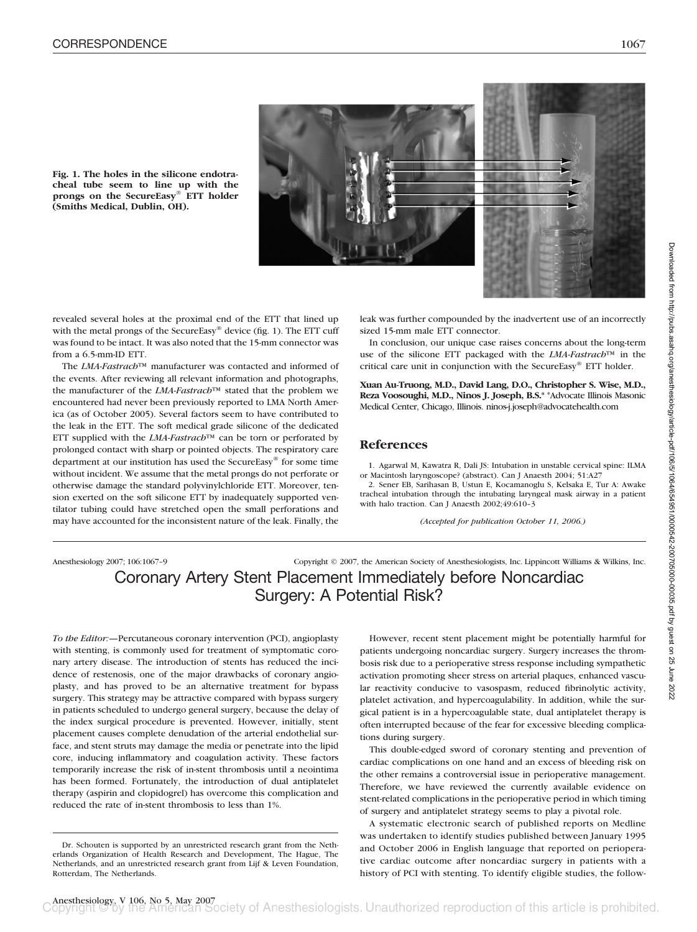



**Fig. 1. The holes in the silicone endotracheal tube seem to line up with the prongs on the SecureEasy® ETT holder (Smiths Medical, Dublin, OH).**

revealed several holes at the proximal end of the ETT that lined up with the metal prongs of the SecureEasy® device (fig. 1). The ETT cuff was found to be intact. It was also noted that the 15-mm connector was from a 6.5-mm-ID ETT.

The *LMA-Fastrach*™ manufacturer was contacted and informed of the events. After reviewing all relevant information and photographs, the manufacturer of the *LMA-Fastrach*™ stated that the problem we encountered had never been previously reported to LMA North America (as of October 2005). Several factors seem to have contributed to the leak in the ETT. The soft medical grade silicone of the dedicated ETT supplied with the *LMA-Fastrach*™ can be torn or perforated by prolonged contact with sharp or pointed objects. The respiratory care department at our institution has used the SecureEasy® for some time without incident. We assume that the metal prongs do not perforate or otherwise damage the standard polyvinylchloride ETT. Moreover, tension exerted on the soft silicone ETT by inadequately supported ventilator tubing could have stretched open the small perforations and may have accounted for the inconsistent nature of the leak. Finally, the

leak was further compounded by the inadvertent use of an incorrectly sized 15-mm male ETT connector.

In conclusion, our unique case raises concerns about the long-term use of the silicone ETT packaged with the *LMA-Fastrach*™ in the critical care unit in conjunction with the SecureEasy® ETT holder.

**Xuan Au-Truong, M.D., David Lang, D.O., Christopher S. Wise, M.D., Reza Voosoughi, M.D., Ninos J. Joseph, B.S.\*** \*Advocate Illinois Masonic Medical Center, Chicago, Illinois. ninos-j.joseph@advocatehealth.com

#### **References**

1. Agarwal M, Kawatra R, Dali JS: Intubation in unstable cervical spine: ILMA or Macintosh laryngoscope? (abstract). Can J Anaesth 2004; 51:A27

2. Sener EB, Sarihasan B, Ustun E, Kocamanoglu S, Kelsaka E, Tur A: Awake tracheal intubation through the intubating laryngeal mask airway in a patient with halo traction. Can J Anaesth 2002;49:610–3

*(Accepted for publication October 11, 2006.)*

# Anesthesiology 2007; 106:1067–9 Copyright © 2007, the American Society of Anesthesiologists, Inc. Lippincott Williams & Wilkins, Inc. Coronary Artery Stent Placement Immediately before Noncardiac Surgery: A Potential Risk?

*To the Editor:—*Percutaneous coronary intervention (PCI), angioplasty with stenting, is commonly used for treatment of symptomatic coronary artery disease. The introduction of stents has reduced the incidence of restenosis, one of the major drawbacks of coronary angioplasty, and has proved to be an alternative treatment for bypass surgery. This strategy may be attractive compared with bypass surgery in patients scheduled to undergo general surgery, because the delay of the index surgical procedure is prevented. However, initially, stent placement causes complete denudation of the arterial endothelial surface, and stent struts may damage the media or penetrate into the lipid core, inducing inflammatory and coagulation activity. These factors temporarily increase the risk of in-stent thrombosis until a neointima has been formed. Fortunately, the introduction of dual antiplatelet therapy (aspirin and clopidogrel) has overcome this complication and reduced the rate of in-stent thrombosis to less than 1%.

However, recent stent placement might be potentially harmful for patients undergoing noncardiac surgery. Surgery increases the thrombosis risk due to a perioperative stress response including sympathetic activation promoting sheer stress on arterial plaques, enhanced vascular reactivity conducive to vasospasm, reduced fibrinolytic activity, platelet activation, and hypercoagulability. In addition, while the surgical patient is in a hypercoagulable state, dual antiplatelet therapy is often interrupted because of the fear for excessive bleeding complications during surgery.

This double-edged sword of coronary stenting and prevention of cardiac complications on one hand and an excess of bleeding risk on the other remains a controversial issue in perioperative management. Therefore, we have reviewed the currently available evidence on stent-related complications in the perioperative period in which timing of surgery and antiplatelet strategy seems to play a pivotal role.

A systematic electronic search of published reports on Medline was undertaken to identify studies published between January 1995 and October 2006 in English language that reported on perioperative cardiac outcome after noncardiac surgery in patients with a history of PCI with stenting. To identify eligible studies, the follow-

Dr. Schouten is supported by an unrestricted research grant from the Netherlands Organization of Health Research and Development, The Hague, The Netherlands, and an unrestricted research grant from Lijf & Leven Foundation, Rotterdam, The Netherlands.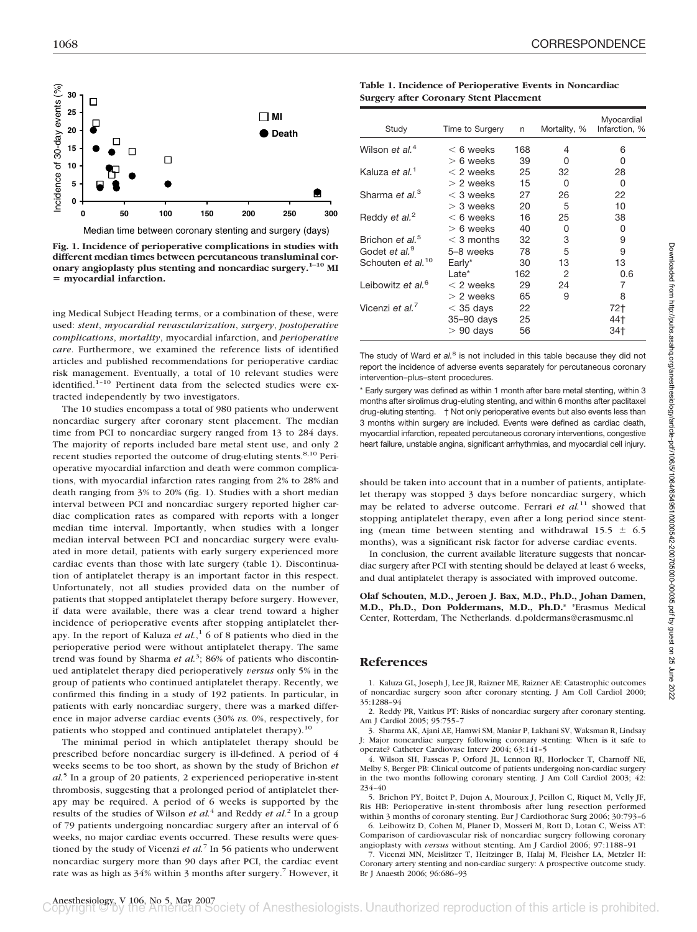

**Fig. 1. Incidence of perioperative complications in studies with different median times between percutaneous transluminal coronary angioplasty plus stenting and noncardiac surgery.1–10 MI myocardial infarction.**

ing Medical Subject Heading terms, or a combination of these, were used: *stent*, *myocardial revascularization*, *surgery*, *postoperative complications*, *mortality*, myocardial infarction, and *perioperative care*. Furthermore, we examined the reference lists of identified articles and published recommendations for perioperative cardiac risk management. Eventually, a total of 10 relevant studies were identified.<sup>1-10</sup> Pertinent data from the selected studies were extracted independently by two investigators.

The 10 studies encompass a total of 980 patients who underwent noncardiac surgery after coronary stent placement. The median time from PCI to noncardiac surgery ranged from 13 to 284 days. The majority of reports included bare metal stent use, and only 2 recent studies reported the outcome of drug-eluting stents.<sup>8,10</sup> Perioperative myocardial infarction and death were common complications, with myocardial infarction rates ranging from 2% to 28% and death ranging from 3% to 20% (fig. 1). Studies with a short median interval between PCI and noncardiac surgery reported higher cardiac complication rates as compared with reports with a longer median time interval. Importantly, when studies with a longer median interval between PCI and noncardiac surgery were evaluated in more detail, patients with early surgery experienced more cardiac events than those with late surgery (table 1). Discontinuation of antiplatelet therapy is an important factor in this respect. Unfortunately, not all studies provided data on the number of patients that stopped antiplatelet therapy before surgery. However, if data were available, there was a clear trend toward a higher incidence of perioperative events after stopping antiplatelet therapy. In the report of Kaluza *et al.*, <sup>1</sup> 6 of 8 patients who died in the perioperative period were without antiplatelet therapy. The same trend was found by Sharma *et al.*<sup>3</sup>; 86% of patients who discontinued antiplatelet therapy died perioperatively *versus* only 5% in the group of patients who continued antiplatelet therapy. Recently, we confirmed this finding in a study of 192 patients. In particular, in patients with early noncardiac surgery, there was a marked difference in major adverse cardiac events (30% *vs.* 0%, respectively, for patients who stopped and continued antiplatelet therapy).<sup>10</sup>

The minimal period in which antiplatelet therapy should be prescribed before noncardiac surgery is ill-defined. A period of 4 weeks seems to be too short, as shown by the study of Brichon *et al.*<sup>5</sup> In a group of 20 patients, 2 experienced perioperative in-stent thrombosis, suggesting that a prolonged period of antiplatelet therapy may be required. A period of 6 weeks is supported by the results of the studies of Wilson *et al.*<sup>4</sup> and Reddy *et al.*<sup>2</sup> In a group of 79 patients undergoing noncardiac surgery after an interval of 6 weeks, no major cardiac events occurred. These results were questioned by the study of Vicenzi *et al.*<sup>7</sup> In 56 patients who underwent noncardiac surgery more than 90 days after PCI, the cardiac event rate was as high as 34% within 3 months after surgery.<sup>7</sup> However, it

**Table 1. Incidence of Perioperative Events in Noncardiac Surgery after Coronary Stent Placement**

| Study                         | Time to Surgery | n   | Mortality, % | Myocardial<br>Infarction, % |
|-------------------------------|-----------------|-----|--------------|-----------------------------|
| Wilson et al. <sup>4</sup>    | $< 6$ weeks     | 168 | 4            | 6                           |
|                               | $> 6$ weeks     | 39  | O            | O                           |
| Kaluza et al. <sup>1</sup>    | $<$ 2 weeks     | 25  | 32           | 28                          |
|                               | $> 2$ weeks     | 15  | 0            | 0                           |
| Sharma et al. <sup>3</sup>    | $<$ 3 weeks     | 27  | 26           | 22                          |
|                               | $>$ 3 weeks     | 20  | 5            | 10                          |
| Reddy et al. <sup>2</sup>     | $< 6$ weeks     | 16  | 25           | 38                          |
|                               | $> 6$ weeks     | 40  | 0            | 0                           |
| Brichon et al. <sup>5</sup>   | $<$ 3 months    | 32  | 3            | 9                           |
| Godet et al. <sup>9</sup>     | 5-8 weeks       | 78  | 5            | 9                           |
| Schouten et al. <sup>10</sup> | Early*          | 30  | 13           | 13                          |
|                               | Late*           | 162 | 2            | 0.6                         |
| Leibowitz et al. <sup>6</sup> | $<$ 2 weeks     | 29  | 24           | 7                           |
|                               | $> 2$ weeks     | 65  | 9            | 8                           |
| Vicenzi et al. <sup>7</sup>   | $<$ 35 days     | 22  |              | $72+$                       |
|                               | 35-90 days      | 25  |              | 44†                         |
|                               | $>90$ days      | 56  |              | 34†                         |

The study of Ward *et al.*<sup>8</sup> is not included in this table because they did not report the incidence of adverse events separately for percutaneous coronary intervention–plus–stent procedures.

\* Early surgery was defined as within 1 month after bare metal stenting, within 3 months after sirolimus drug-eluting stenting, and within 6 months after paclitaxel drug-eluting stenting. † Not only perioperative events but also events less than 3 months within surgery are included. Events were defined as cardiac death, myocardial infarction, repeated percutaneous coronary interventions, congestive heart failure, unstable angina, significant arrhythmias, and myocardial cell injury.

should be taken into account that in a number of patients, antiplatelet therapy was stopped 3 days before noncardiac surgery, which may be related to adverse outcome. Ferrari *et al.*<sup>11</sup> showed that stopping antiplatelet therapy, even after a long period since stenting (mean time between stenting and withdrawal  $15.5 \pm 6.5$ months), was a significant risk factor for adverse cardiac events.

In conclusion, the current available literature suggests that noncardiac surgery after PCI with stenting should be delayed at least 6 weeks, and dual antiplatelet therapy is associated with improved outcome.

**Olaf Schouten, M.D., Jeroen J. Bax, M.D., Ph.D., Johan Damen, M.D., Ph.D., Don Poldermans, M.D., Ph.D.\*** \*Erasmus Medical Center, Rotterdam, The Netherlands. d.poldermans@erasmusmc.nl

#### **References**

1. Kaluza GL, Joseph J, Lee JR, Raizner ME, Raizner AE: Catastrophic outcomes of noncardiac surgery soon after coronary stenting. J Am Coll Cardiol 2000; 35:1288–94

2. Reddy PR, Vaitkus PT: Risks of noncardiac surgery after coronary stenting. Am J Cardiol 2005; 95:755–7

3. Sharma AK, Ajani AE, Hamwi SM, Maniar P, Lakhani SV, Waksman R, Lindsay J: Major noncardiac surgery following coronary stenting: When is it safe to operate? Catheter Cardiovasc Interv 2004; 63:141–5

4. Wilson SH, Fasseas P, Orford JL, Lennon RJ, Horlocker T, Charnoff NE, Melby S, Berger PB: Clinical outcome of patients undergoing non-cardiac surgery in the two months following coronary stenting. J Am Coll Cardiol 2003; 42: 234–40

5. Brichon PY, Boitet P, Dujon A, Mouroux J, Peillon C, Riquet M, Velly JF, Ris HB: Perioperative in-stent thrombosis after lung resection performed within 3 months of coronary stenting. Eur J Cardiothorac Surg 2006; 30:793–6

6. Leibowitz D, Cohen M, Planer D, Mosseri M, Rott D, Lotan C, Weiss AT: Comparison of cardiovascular risk of noncardiac surgery following coronary angioplasty with *versus* without stenting. Am J Cardiol 2006; 97:1188–91

7. Vicenzi MN, Meislitzer T, Heitzinger B, Halaj M, Fleisher LA, Metzler H: Coronary artery stenting and non-cardiac surgery: A prospective outcome study. Br J Anaesth 2006; 96:686–93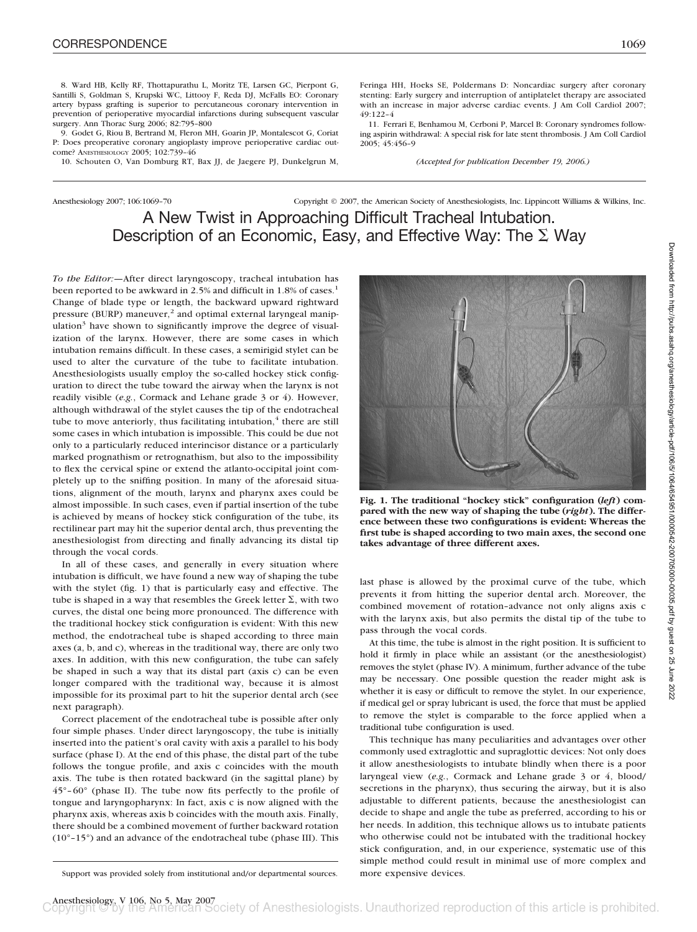8. Ward HB, Kelly RF, Thottapurathu L, Moritz TE, Larsen GC, Pierpont G, Santilli S, Goldman S, Krupski WC, Littooy F, Reda DJ, McFalls EO: Coronary artery bypass grafting is superior to percutaneous coronary intervention in prevention of perioperative myocardial infarctions during subsequent vascular surgery. Ann Thorac Surg 2006; 82:795–800

9. Godet G, Riou B, Bertrand M, Fleron MH, Goarin JP, Montalescot G, Coriat P: Does preoperative coronary angioplasty improve perioperative cardiac outcome? ANESTHESIOLOGY 2005; 102:739–46

10. Schouten O, Van Domburg RT, Bax JJ, de Jaegere PJ, Dunkelgrun M,

Feringa HH, Hoeks SE, Poldermans D: Noncardiac surgery after coronary stenting: Early surgery and interruption of antiplatelet therapy are associated with an increase in major adverse cardiac events. J Am Coll Cardiol 2007; 49:122–4

11. Ferrari E, Benhamou M, Cerboni P, Marcel B: Coronary syndromes following aspirin withdrawal: A special risk for late stent thrombosis. J Am Coll Cardiol 2005; 45:456–9

*(Accepted for publication December 19, 2006.)*

# Anesthesiology 2007; 106:1069–70 Copyright © 2007, the American Society of Anesthesiologists, Inc. Lippincott Williams & Wilkins, Inc. A New Twist in Approaching Difficult Tracheal Intubation. Description of an Economic, Easy, and Effective Way: The  $\Sigma$  Way

*To the Editor:—*After direct laryngoscopy, tracheal intubation has been reported to be awkward in 2.5% and difficult in 1.8% of cases.<sup>1</sup> Change of blade type or length, the backward upward rightward pressure (BURP) maneuver,<sup>2</sup> and optimal external laryngeal manipulation<sup>3</sup> have shown to significantly improve the degree of visualization of the larynx. However, there are some cases in which intubation remains difficult. In these cases, a semirigid stylet can be used to alter the curvature of the tube to facilitate intubation. Anesthesiologists usually employ the so-called hockey stick configuration to direct the tube toward the airway when the larynx is not readily visible (*e.g.*, Cormack and Lehane grade 3 or 4). However, although withdrawal of the stylet causes the tip of the endotracheal tube to move anteriorly, thus facilitating intubation, $4$  there are still some cases in which intubation is impossible. This could be due not only to a particularly reduced interincisor distance or a particularly marked prognathism or retrognathism, but also to the impossibility to flex the cervical spine or extend the atlanto-occipital joint completely up to the sniffing position. In many of the aforesaid situations, alignment of the mouth, larynx and pharynx axes could be almost impossible. In such cases, even if partial insertion of the tube is achieved by means of hockey stick configuration of the tube, its rectilinear part may hit the superior dental arch, thus preventing the anesthesiologist from directing and finally advancing its distal tip through the vocal cords.

In all of these cases, and generally in every situation where intubation is difficult, we have found a new way of shaping the tube with the stylet (fig. 1) that is particularly easy and effective. The tube is shaped in a way that resembles the Greek letter  $\Sigma$ , with two curves, the distal one being more pronounced. The difference with the traditional hockey stick configuration is evident: With this new method, the endotracheal tube is shaped according to three main axes (a, b, and c), whereas in the traditional way, there are only two axes. In addition, with this new configuration, the tube can safely be shaped in such a way that its distal part (axis c) can be even longer compared with the traditional way, because it is almost impossible for its proximal part to hit the superior dental arch (see next paragraph).

Correct placement of the endotracheal tube is possible after only four simple phases. Under direct laryngoscopy, the tube is initially inserted into the patient's oral cavity with axis a parallel to his body surface (phase I). At the end of this phase, the distal part of the tube follows the tongue profile, and axis c coincides with the mouth axis. The tube is then rotated backward (in the sagittal plane) by  $45^{\circ}$ –60 $^{\circ}$  (phase II). The tube now fits perfectly to the profile of tongue and laryngopharynx: In fact, axis c is now aligned with the pharynx axis, whereas axis b coincides with the mouth axis. Finally, there should be a combined movement of further backward rotation (10°–15°) and an advance of the endotracheal tube (phase III). This



**Fig. 1. The traditional "hockey stick" configuration (***left***) compared with the new way of shaping the tube (***right***). The difference between these two configurations is evident: Whereas the first tube is shaped according to two main axes, the second one takes advantage of three different axes.**

last phase is allowed by the proximal curve of the tube, which prevents it from hitting the superior dental arch. Moreover, the combined movement of rotation–advance not only aligns axis c with the larynx axis, but also permits the distal tip of the tube to pass through the vocal cords.

At this time, the tube is almost in the right position. It is sufficient to hold it firmly in place while an assistant (or the anesthesiologist) removes the stylet (phase IV). A minimum, further advance of the tube may be necessary. One possible question the reader might ask is whether it is easy or difficult to remove the stylet. In our experience, if medical gel or spray lubricant is used, the force that must be applied to remove the stylet is comparable to the force applied when a traditional tube configuration is used.

This technique has many peculiarities and advantages over other commonly used extraglottic and supraglottic devices: Not only does it allow anesthesiologists to intubate blindly when there is a poor laryngeal view (*e.g.*, Cormack and Lehane grade 3 or 4, blood/ secretions in the pharynx), thus securing the airway, but it is also adjustable to different patients, because the anesthesiologist can decide to shape and angle the tube as preferred, according to his or her needs. In addition, this technique allows us to intubate patients who otherwise could not be intubated with the traditional hockey stick configuration, and, in our experience, systematic use of this simple method could result in minimal use of more complex and

Support was provided solely from institutional and/or departmental sources. more expensive devices.